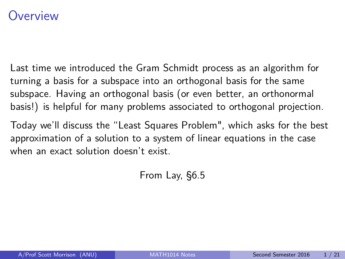## <span id="page-0-0"></span>Overview

Last time we introduced the Gram Schmidt process as an algorithm for turning a basis for a subspace into an orthogonal basis for the same subspace. Having an orthogonal basis (or even better, an orthonormal basis!) is helpful for many problems associated to orthogonal projection.

Today we'll discuss the "Least Squares Problem", which asks for the best approximation of a solution to a system of linear equations in the case when an exact solution doesn't exist.

From Lay, §6.5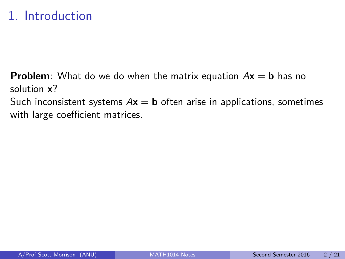# 1. Introduction

**Problem**: What do we do when the matrix equation  $Ax = b$  has no solution **x**? Such inconsistent systems  $Ax = b$  often arise in applications, sometimes with large coefficient matrices.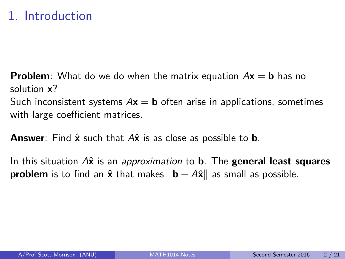# 1. Introduction

**Problem**: What do we do when the matrix equation  $Ax = b$  has no solution **x**? Such inconsistent systems  $Ax = b$  often arise in applications, sometimes with large coefficient matrices.

**Answer**: Find  $\hat{\mathbf{x}}$  such that  $A\hat{\mathbf{x}}$  is as close as possible to **b**.

In this situation Ax<sup>x</sup> is an approximation to **b**. The general least squares **problem** is to find an  $\hat{x}$  that makes  $\|\mathbf{b} - A\hat{x}\|$  as small as possible.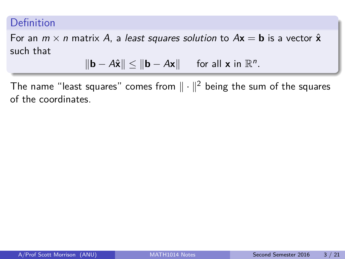### Definition

For an  $m \times n$  matrix A, a least squares solution to  $A\mathbf{x} = \mathbf{b}$  is a vector  $\hat{\mathbf{x}}$ such that

$$
\|\mathbf{b} - A\hat{\mathbf{x}}\| \le \|\mathbf{b} - A\mathbf{x}\| \quad \text{ for all } \mathbf{x} \text{ in } \mathbb{R}^n.
$$

The name "least squares" comes from  $\|\cdot\|^2$  being the sum of the squares of the coordinates.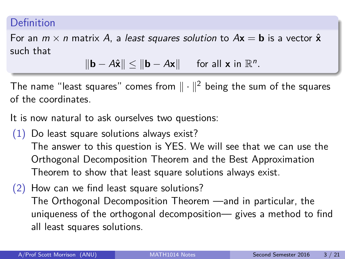#### Definition

For an  $m \times n$  matrix A, a least squares solution to  $A\mathbf{x} = \mathbf{b}$  is a vector  $\hat{\mathbf{x}}$ such that

$$
\|\mathbf{b} - A\hat{\mathbf{x}}\| \le \|\mathbf{b} - A\mathbf{x}\| \quad \text{ for all } \mathbf{x} \text{ in } \mathbb{R}^n.
$$

The name "least squares" comes from  $\|\cdot\|^2$  being the sum of the squares of the coordinates.

It is now natural to ask ourselves two questions:

- (1) Do least square solutions always exist? The answer to this question is YES. We will see that we can use the Orthogonal Decomposition Theorem and the Best Approximation Theorem to show that least square solutions always exist.
- (2) How can we find least square solutions? The Orthogonal Decomposition Theorem —and in particular, the uniqueness of the orthogonal decomposition— gives a method to find all least squares solutions.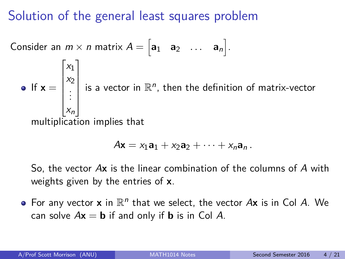## Solution of the general least squares problem

Consider an  $m \times n$  matrix  $A = \begin{bmatrix} a_1 & a_2 & \dots & a_n \end{bmatrix}$ . If  $x =$  $\sqrt{ }$   $x_1$  $x_2$ . . .  $x_n$ 1 is a vector in  $\mathbb{R}^n$ , then the definition of matrix-vector multiplication implies that

$$
A\mathbf{x} = x_1\mathbf{a}_1 + x_2\mathbf{a}_2 + \cdots + x_n\mathbf{a}_n.
$$

So, the vector A**x** is the linear combination of the columns of A with weights given by the entries of **x**.

For any vector  $\mathbf x$  in  $\mathbb R^n$  that we select, the vector  $A\mathbf x$  is in Col  $A$ . We can solve  $A\mathbf{x} = \mathbf{b}$  if and only if **b** is in Col A.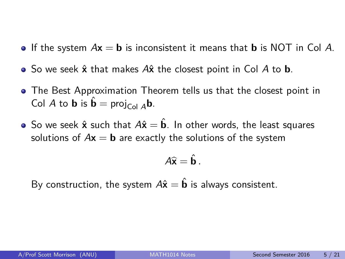- If the system  $A\mathbf{x} = \mathbf{b}$  is inconsistent it means that **b** is NOT in Col A.
- So we seek  $\hat{\mathbf{x}}$  that makes A $\hat{\mathbf{x}}$  the closest point in Col A to **b**.
- The Best Approximation Theorem tells us that the closest point in Col A to **b** is  $\hat{\mathbf{b}} = \text{proj}_{C \text{old } A} \mathbf{b}$ .
- **■** So we seek  $\hat{\mathbf{x}}$  such that  $A\hat{\mathbf{x}} = \hat{\mathbf{b}}$ . In other words, the least squares solutions of  $A\mathbf{x} = \mathbf{b}$  are exactly the solutions of the system

$$
A\widehat{\mathbf{x}}=\hat{\mathbf{b}}.
$$

By construction, the system  $A\hat{x} = \hat{b}$  is always consistent.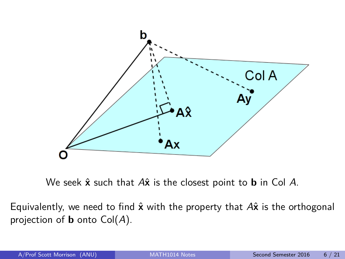

We seek **x**ˆ such that A**x**ˆ is the closest point to **b** in Col A.

Equivalently, we need to find  $\hat{x}$  with the property that  $A\hat{x}$  is the orthogonal projection of **b** onto Col(A).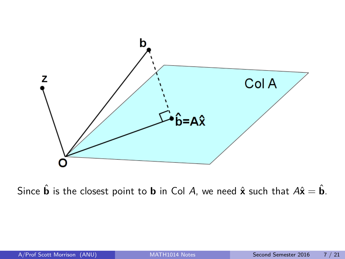

Since  $\hat{\mathbf{b}}$  is the closest point to **b** in Col A, we need  $\hat{\mathbf{x}}$  such that  $A\hat{\mathbf{x}} = \hat{\mathbf{b}}$ .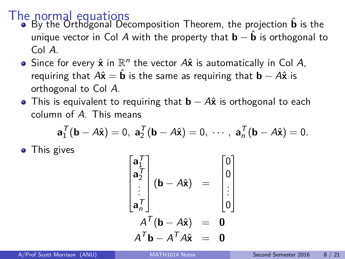- The normal equations<br>■ By the Orthogonal Decomposition Theorem, the projection **b** is the unique vector in Col A with the property that  $\mathbf{b} - \mathbf{b}$  is orthogonal to Col A.
	- Since for every  $\hat{\mathbf{x}}$  in  $\mathbb{R}^n$  the vector  $A\hat{\mathbf{x}}$  is automatically in Col  $A$ , requiring that  $A\hat{x} = \hat{b}$  is the same as requiring that  $\bf{b} - A\hat{x}$  is orthogonal to Col A.
	- **•** This is equivalent to requiring that **b** − A $\hat{x}$  is orthogonal to each column of A. This means

$$
\mathbf{a}_1^{\mathsf{T}}(\mathbf{b}-A\hat{\mathbf{x}})=0, \ \mathbf{a}_2^{\mathsf{T}}(\mathbf{b}-A\hat{\mathbf{x}})=0, \ \cdots, \ \mathbf{a}_n^{\mathsf{T}}(\mathbf{b}-A\hat{\mathbf{x}})=0.
$$

• This gives

$$
\begin{bmatrix}\n\mathbf{a}_1^T \\
\mathbf{a}_2^T \\
\vdots \\
\mathbf{a}_n^T\n\end{bmatrix}\n\begin{matrix}\n\mathbf{b} - A\hat{\mathbf{x}}\n\end{matrix} = \begin{bmatrix}\n0 \\
0 \\
\vdots \\
0\n\end{bmatrix}
$$
\n
$$
A^T(\mathbf{b} - A\hat{\mathbf{x}}) = \mathbf{0}
$$
\n
$$
A^T\mathbf{b} - A^T A\hat{\mathbf{x}} = \mathbf{0}
$$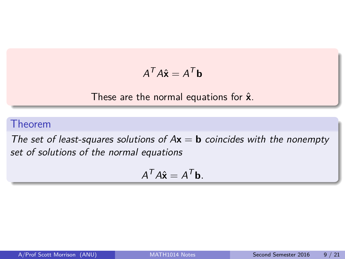$$
A^T A \hat{\mathbf{x}} = A^T \mathbf{b}
$$

These are the normal equations for  $\hat{x}$ .

#### Theorem

The set of least-squares solutions of  $Ax = b$  coincides with the nonempty set of solutions of the normal equations

$$
A^T A \hat{\mathbf{x}} = A^T \mathbf{b}.
$$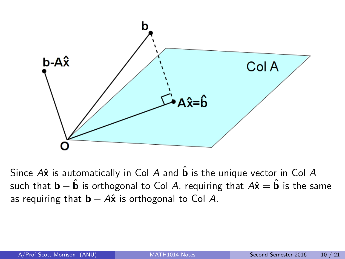

Since  $A\hat{x}$  is automatically in Col A and  $\hat{b}$  is the unique vector in Col A such that **b** −  $\hat{\bf{b}}$  is orthogonal to Col A, requiring that  $A\hat{\bf{x}} = \hat{\bf{b}}$  is the same as requiring that  $\mathbf{b} - A\hat{\mathbf{x}}$  is orthogonal to Col A.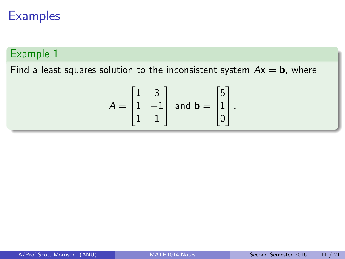## **Examples**

### Example 1

Find a least squares solution to the inconsistent system  $Ax = b$ , where

$$
A = \begin{bmatrix} 1 & 3 \\ 1 & -1 \\ 1 & 1 \end{bmatrix} \text{ and } \mathbf{b} = \begin{bmatrix} 5 \\ 1 \\ 0 \end{bmatrix}.
$$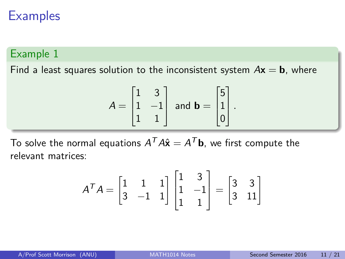## **Examples**

#### Example 1

Find a least squares solution to the inconsistent system  $Ax = b$ , where

$$
A = \begin{bmatrix} 1 & 3 \\ 1 & -1 \\ 1 & 1 \end{bmatrix} \text{ and } \mathbf{b} = \begin{bmatrix} 5 \\ 1 \\ 0 \end{bmatrix}.
$$

To solve the normal equations  $A^T A \hat{\mathbf{x}} = A^T \mathbf{b}$ , we first compute the relevant matrices:

$$
A^{T}A = \begin{bmatrix} 1 & 1 & 1 \\ 3 & -1 & 1 \end{bmatrix} \begin{bmatrix} 1 & 3 \\ 1 & -1 \\ 1 & 1 \end{bmatrix} = \begin{bmatrix} 3 & 3 \\ 3 & 11 \end{bmatrix}
$$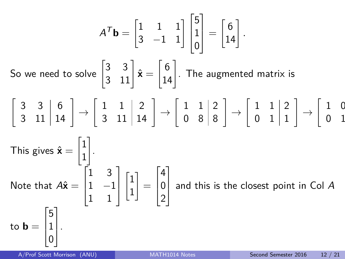$$
A^T \mathbf{b} = \begin{bmatrix} 1 & 1 & 1 \\ 3 & -1 & 1 \end{bmatrix} \begin{bmatrix} 5 \\ 1 \\ 0 \end{bmatrix} = \begin{bmatrix} 6 \\ 14 \end{bmatrix}.
$$
  
So we need to solve  $\begin{bmatrix} 3 & 3 \\ 3 & 11 \end{bmatrix} \hat{\mathbf{x}} = \begin{bmatrix} 6 \\ 14 \end{bmatrix}$ . The augmented matrix is  

$$
\begin{bmatrix} 3 & 3 & 6 \\ 3 & 11 & 14 \end{bmatrix} \rightarrow \begin{bmatrix} 1 & 1 & 2 \\ 3 & 11 & 14 \end{bmatrix} \rightarrow \begin{bmatrix} 1 & 1 & 2 \\ 0 & 8 & 8 \end{bmatrix} \rightarrow \begin{bmatrix} 1 & 1 & 2 \\ 0 & 1 & 1 \end{bmatrix} \rightarrow \begin{bmatrix} 1 & 0 \\ 0 & 1 \end{bmatrix}
$$
  
This gives  $\hat{\mathbf{x}} = \begin{bmatrix} 1 \\ 1 \\ 1 \end{bmatrix}$ .  
Note that  $A\hat{\mathbf{x}} = \begin{bmatrix} 1 & 3 \\ 1 & -1 \\ 1 & 1 \end{bmatrix} \begin{bmatrix} 1 \\ 1 \end{bmatrix} = \begin{bmatrix} 4 \\ 0 \\ 2 \end{bmatrix}$  and this is the closest point in Col A to  $\mathbf{b} = \begin{bmatrix} 5 \\ 1 \\ 0 \end{bmatrix}$ .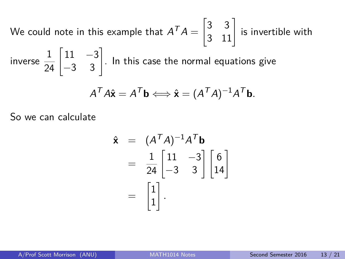We could note in this example that  $A^\mathcal{T} A = \begin{bmatrix} 3 & 3 \ 3 & 11 \end{bmatrix}$  is invertible with inverse  $\frac{1}{24} \begin{bmatrix} 11 & -3 \\ -3 & 3 \end{bmatrix}$ . In this case the normal equations give

$$
A^T A \hat{\mathbf{x}} = A^T \mathbf{b} \Longleftrightarrow \hat{\mathbf{x}} = (A^T A)^{-1} A^T \mathbf{b}.
$$

So we can calculate

$$
\hat{\mathbf{x}} = (A^T A)^{-1} A^T \mathbf{b}
$$
  
=  $\frac{1}{24} \begin{bmatrix} 11 & -3 \\ -3 & 3 \end{bmatrix} \begin{bmatrix} 6 \\ 14 \end{bmatrix}$   
=  $\begin{bmatrix} 1 \\ 1 \end{bmatrix}$ .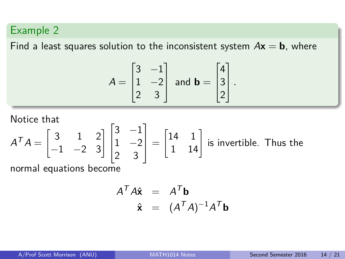## Example 2

Find a least squares solution to the inconsistent system  $Ax = b$ , where

$$
A = \begin{bmatrix} 3 & -1 \\ 1 & -2 \\ 2 & 3 \end{bmatrix} \text{ and } \mathbf{b} = \begin{bmatrix} 4 \\ 3 \\ 2 \end{bmatrix}.
$$

Notice that

$$
A^T A = \begin{bmatrix} 3 & 1 & 2 \\ -1 & -2 & 3 \end{bmatrix} \begin{bmatrix} 3 & -1 \\ 1 & -2 \\ 2 & 3 \end{bmatrix} = \begin{bmatrix} 14 & 1 \\ 1 & 14 \end{bmatrix}
$$
 is invertible. Thus the

normal equations become

$$
A^{T} A \hat{\mathbf{x}} = A^{T} \mathbf{b}
$$

$$
\hat{\mathbf{x}} = (A^{T} A)^{-1} A^{T} \mathbf{b}
$$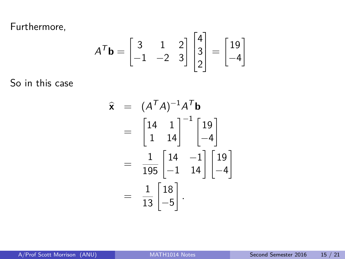Furthermore,

$$
A^{\mathsf{T}}\mathbf{b} = \begin{bmatrix} 3 & 1 & 2 \\ -1 & -2 & 3 \end{bmatrix} \begin{bmatrix} 4 \\ 3 \\ 2 \end{bmatrix} = \begin{bmatrix} 19 \\ -4 \end{bmatrix}
$$

So in this case

$$
\hat{\mathbf{x}} = (A^T A)^{-1} A^T \mathbf{b}
$$
  
=  $\begin{bmatrix} 14 & 1 \\ 1 & 14 \end{bmatrix}^{-1} \begin{bmatrix} 19 \\ -4 \end{bmatrix}$   
=  $\frac{1}{195} \begin{bmatrix} 14 & -1 \\ -1 & 14 \end{bmatrix} \begin{bmatrix} 19 \\ -4 \end{bmatrix}$   
=  $\frac{1}{13} \begin{bmatrix} 18 \\ -5 \end{bmatrix}.$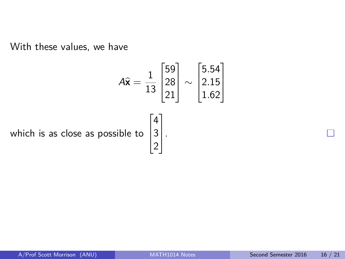With these values, we have

$$
A\hat{x} = \frac{1}{13} \begin{bmatrix} 59 \\ 28 \\ 21 \end{bmatrix} \sim \begin{bmatrix} 5.54 \\ 2.15 \\ 1.62 \end{bmatrix}
$$
  
which is as close as possible to 
$$
\begin{bmatrix} 4 \\ 3 \\ 2 \end{bmatrix}.
$$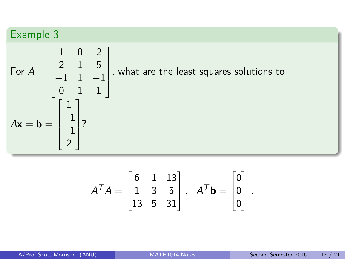## Example 3

For 
$$
A = \begin{bmatrix} 1 & 0 & 2 \\ 2 & 1 & 5 \\ -1 & 1 & -1 \\ 0 & 1 & 1 \end{bmatrix}
$$
, what are the least squares solutions to  
\n
$$
A\mathbf{x} = \mathbf{b} = \begin{bmatrix} 1 \\ -1 \\ -1 \\ 2 \end{bmatrix}
$$
?

$$
A^T A = \begin{bmatrix} 6 & 1 & 13 \\ 1 & 3 & 5 \\ 13 & 5 & 31 \end{bmatrix}, A^T \mathbf{b} = \begin{bmatrix} 0 \\ 0 \\ 0 \end{bmatrix}.
$$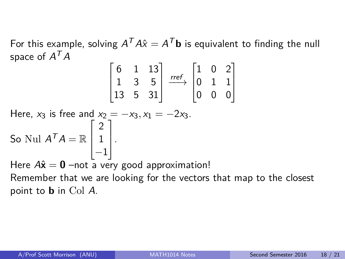For this example, solving  $A^T A \hat{x} = A^T \mathbf{b}$  is equivalent to finding the null space of  $A^\mathcal{T} A$ 

$$
\begin{bmatrix} 6 & 1 & 13 \\ 1 & 3 & 5 \\ 13 & 5 & 31 \end{bmatrix} \xrightarrow{ref} \begin{bmatrix} 1 & 0 & 2 \\ 0 & 1 & 1 \\ 0 & 0 & 0 \end{bmatrix}
$$

Here,  $x_3$  is free and  $x_2 = -x_3, x_1 = -2x_3$ . So Nul  $A^T A = \mathbb{R}$  $\sqrt{ }$  $\overline{\phantom{a}}$ 2 1 −1 1  $\vert \cdot$ Here  $A\hat{\mathbf{x}} = \mathbf{0}$  –not a very good approximation!

Remember that we are looking for the vectors that map to the closest point to **b** in Col A.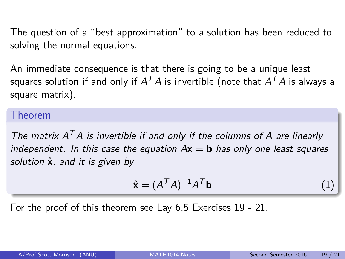The question of a "best approximation" to a solution has been reduced to solving the normal equations.

An immediate consequence is that there is going to be a unique least squares solution if and only if  $A^{\mathcal{T}}A$  is invertible (note that  $A^{\mathcal{T}}A$  is always a square matrix).

#### Theorem

The matrix  $A<sup>T</sup>A$  is invertible if and only if the columns of A are linearly independent. In this case the equation  $Ax = b$  has only one least squares solution  $\hat{x}$ , and it is given by

<span id="page-21-0"></span>
$$
\hat{\mathbf{x}} = (A^T A)^{-1} A^T \mathbf{b} \tag{1}
$$

For the proof of this theorem see Lay 6.5 Exercises 19 - 21.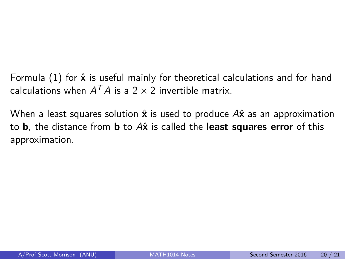Formula  $(1)$  for  $\hat{x}$  is useful mainly for theoretical calculations and for hand calculations when  $A^TA$  is a  $2\times 2$  invertible matrix.

When a least squares solution  $\hat{\mathbf{x}}$  is used to produce A $\hat{\mathbf{x}}$  as an approximation to **b**, the distance from **b** to  $A\hat{x}$  is called the **least squares error** of this approximation.